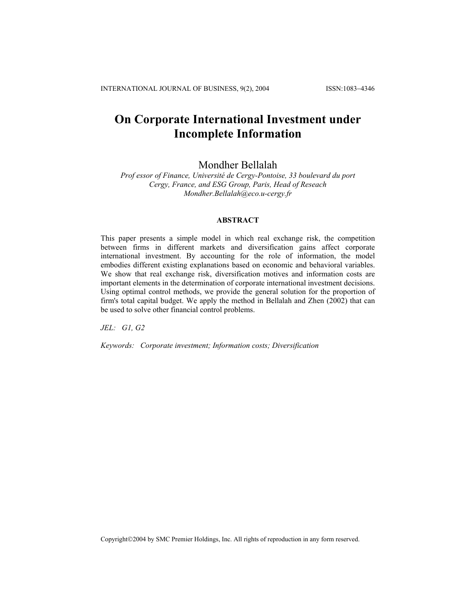INTERNATIONAL JOURNAL OF BUSINESS, 9(2), 2004 ISSN:1083−4346

# **On Corporate International Investment under Incomplete Information**

## Mondher Bellalah

*Prof essor of Finance, Université de Cergy-Pontoise, 33 boulevard du port Cergy, France, and ESG Group, Paris, Head of Reseach Mondher.Bellalah@eco.u-cergy.fr* 

#### **ABSTRACT**

This paper presents a simple model in which real exchange risk, the competition between firms in different markets and diversification gains affect corporate international investment. By accounting for the role of information, the model embodies different existing explanations based on economic and behavioral variables. We show that real exchange risk, diversification motives and information costs are important elements in the determination of corporate international investment decisions. Using optimal control methods, we provide the general solution for the proportion of firm's total capital budget. We apply the method in Bellalah and Zhen (2002) that can be used to solve other financial control problems.

*JEL: G1, G2* 

*Keywords: Corporate investment; Information costs; Diversification*

Copyright©2004 by SMC Premier Holdings, Inc. All rights of reproduction in any form reserved.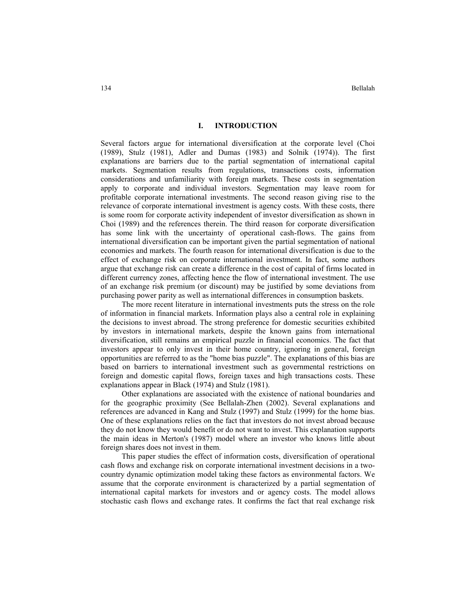#### **I. INTRODUCTION**

Several factors argue for international diversification at the corporate level (Choi (1989), Stulz (1981), Adler and Dumas (1983) and Solnik (1974)). The first explanations are barriers due to the partial segmentation of international capital markets. Segmentation results from regulations, transactions costs, information considerations and unfamiliarity with foreign markets. These costs in segmentation apply to corporate and individual investors. Segmentation may leave room for profitable corporate international investments. The second reason giving rise to the relevance of corporate international investment is agency costs. With these costs, there is some room for corporate activity independent of investor diversification as shown in Choi (1989) and the references therein. The third reason for corporate diversification has some link with the uncertainty of operational cash-flows. The gains from international diversification can be important given the partial segmentation of national economies and markets. The fourth reason for international diversification is due to the effect of exchange risk on corporate international investment. In fact, some authors argue that exchange risk can create a difference in the cost of capital of firms located in different currency zones, affecting hence the flow of international investment. The use of an exchange risk premium (or discount) may be justified by some deviations from purchasing power parity as well as international differences in consumption baskets.

The more recent literature in international investments puts the stress on the role of information in financial markets. Information plays also a central role in explaining the decisions to invest abroad. The strong preference for domestic securities exhibited by investors in international markets, despite the known gains from international diversification, still remains an empirical puzzle in financial economics. The fact that investors appear to only invest in their home country, ignoring in general, foreign opportunities are referred to as the "home bias puzzle". The explanations of this bias are based on barriers to international investment such as governmental restrictions on foreign and domestic capital flows, foreign taxes and high transactions costs. These explanations appear in Black (1974) and Stulz (1981).

Other explanations are associated with the existence of national boundaries and for the geographic proximity (See Bellalah-Zhen (2002). Several explanations and references are advanced in Kang and Stulz (1997) and Stulz (1999) for the home bias. One of these explanations relies on the fact that investors do not invest abroad because they do not know they would benefit or do not want to invest. This explanation supports the main ideas in Merton's (1987) model where an investor who knows little about foreign shares does not invest in them.

This paper studies the effect of information costs, diversification of operational cash flows and exchange risk on corporate international investment decisions in a twocountry dynamic optimization model taking these factors as environmental factors. We assume that the corporate environment is characterized by a partial segmentation of international capital markets for investors and or agency costs. The model allows stochastic cash flows and exchange rates. It confirms the fact that real exchange risk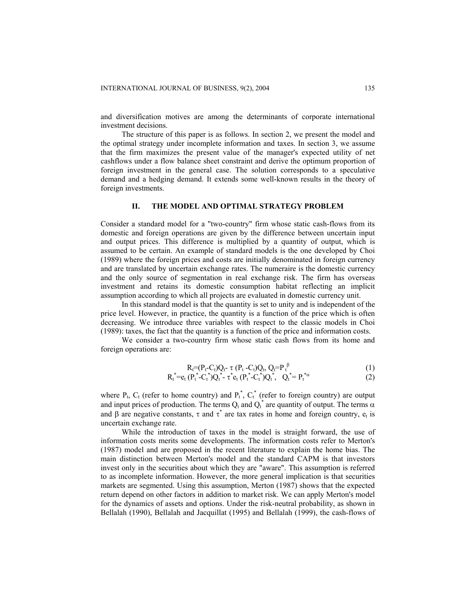and diversification motives are among the determinants of corporate international investment decisions.

The structure of this paper is as follows. In section 2, we present the model and the optimal strategy under incomplete information and taxes. In section 3, we assume that the firm maximizes the present value of the manager's expected utility of net cashflows under a flow balance sheet constraint and derive the optimum proportion of foreign investment in the general case. The solution corresponds to a speculative demand and a hedging demand. It extends some well-known results in the theory of foreign investments.

#### **II. THE MODEL AND OPTIMAL STRATEGY PROBLEM**

Consider a standard model for a "two-country" firm whose static cash-flows from its domestic and foreign operations are given by the difference between uncertain input and output prices. This difference is multiplied by a quantity of output, which is assumed to be certain. An example of standard models is the one developed by Choi (1989) where the foreign prices and costs are initially denominated in foreign currency and are translated by uncertain exchange rates. The numeraire is the domestic currency and the only source of segmentation in real exchange risk. The firm has overseas investment and retains its domestic consumption habitat reflecting an implicit assumption according to which all projects are evaluated in domestic currency unit.

In this standard model is that the quantity is set to unity and is independent of the price level. However, in practice, the quantity is a function of the price which is often decreasing. We introduce three variables with respect to the classic models in Choi (1989): taxes, the fact that the quantity is a function of the price and information costs.

We consider a two-country firm whose static cash flows from its home and foreign operations are:

$$
R_t = (P_t - C_t)Q_t - \tau (P_t - C_t)Q_t, Q_t = P_t^{\beta}
$$
\n(1)

$$
R_t^* = e_t (P_t^* - C_t^*) Q_t^* - \tau^* e_t (P_t^* - C_t^*) Q_t^*, \quad Q_t^* = P_t^* \tag{2}
$$

where  $P_t$ ,  $C_t$  (refer to home country) and  $P_t^*$ ,  $C_t^*$  (refer to foreign country) are output and input prices of production. The terms  $Q_t$  and  $Q_t^*$  are quantity of output. The terms  $\alpha$ and  $\beta$  are negative constants,  $\tau$  and  $\tau^*$  are tax rates in home and foreign country,  $e_t$  is uncertain exchange rate.

While the introduction of taxes in the model is straight forward, the use of information costs merits some developments. The information costs refer to Merton's (1987) model and are proposed in the recent literature to explain the home bias. The main distinction between Merton's model and the standard CAPM is that investors invest only in the securities about which they are "aware". This assumption is referred to as incomplete information. However, the more general implication is that securities markets are segmented. Using this assumption, Merton (1987) shows that the expected return depend on other factors in addition to market risk. We can apply Merton's model for the dynamics of assets and options. Under the risk-neutral probability, as shown in Bellalah (1990), Bellalah and Jacquillat (1995) and Bellalah (1999), the cash-flows of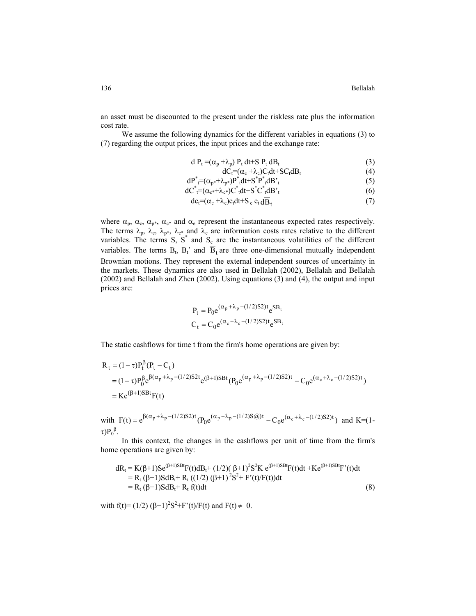an asset must be discounted to the present under the riskless rate plus the information cost rate.

We assume the following dynamics for the different variables in equations (3) to (7) regarding the output prices, the input prices and the exchange rate:

$$
d P_t = (\alpha_p + \lambda_p) P_t dt + S P_t dB_t
$$
\n(3)

$$
dC_t = (\alpha_c + \lambda_c)C_t dt + SC_t dB_t
$$
\n(4)

$$
dP_{t}^{*} = (\alpha_{p^{*}} + \lambda_{p^{*}})P_{t}^{*}dt + S_{t}^{*}P_{t}^{*}dB_{t}^{*}
$$
\n(5)

$$
dC^*_{\tau} = (\alpha_{\tau} + \lambda_{\tau}^2)C^*_{\tau}dt + S^*C^*_{\tau}dB^*_{\tau}
$$
\n
$$
d\Omega = (\alpha_{\tau} + \lambda)Q^*dt + S^*Q^*_{\tau} = \overline{D} \tag{7}
$$

$$
de_t = (\alpha_e + \lambda_e)e_t dt + S_e e_t dB_t
$$
 (7)

where  $\alpha_p$ ,  $\alpha_c$ ,  $\alpha_{p^*}$ ,  $\alpha_{c^*}$  and  $\alpha_e$  represent the instantaneous expected rates respectively. The terms  $\lambda_p$ ,  $\lambda_c$ ,  $\lambda_{p^*}$ ,  $\lambda_{c^*}$  and  $\lambda_e$  are information costs rates relative to the different variables. The terms S,  $S^*$  and  $S_e$  are the instantaneous volatilities of the different variables. The terms  $B_t$ ,  $B_t$ ' and  $\overline{B}_t$  are three one-dimensional mutually independent Brownian motions. They represent the external independent sources of uncertainty in the markets. These dynamics are also used in Bellalah (2002), Bellalah and Bellalah (2002) and Bellalah and Zhen (2002). Using equations (3) and (4), the output and input prices are:

$$
P_t = P_0 e^{(\alpha_p + \lambda_p - (1/2)S2)t} e^{SB_t}
$$
  

$$
C_t = C_0 e^{(\alpha_c + \lambda_c - (1/2)S2)t} e^{SB_t}
$$

The static cashflows for time t from the firm's home operations are given by:

$$
R_{t} = (1 - \tau)P_{t}^{\beta}(P_{t} - C_{t})
$$
  
=  $(1 - \tau)P_{0}^{\beta}e^{\beta(\alpha_{p} + \lambda_{p} - (1/2)S2t}e^{(\beta + 1)SBt}(P_{0}e^{(\alpha_{p} + \lambda_{p} - (1/2)S2)t} - C_{0}e^{(\alpha_{c} + \lambda_{c} - (1/2)S2)t})$   
=  $Ke^{(\beta + 1)SBt}F(t)$ 

with  $F(t) = e^{\beta(\alpha_p + \lambda_p - (1/2)S2)t} (P_0 e^{(\alpha_p + \lambda_p - (1/2)S\omega)t} - C_0 e^{(\alpha_c + \lambda_c - (1/2)S2)t})$  and K=(1τ) $P_0^{\beta}$ .  $(\alpha_n + \lambda_n - (1/2)S(\vec{a}))$ t  $= e^{\beta(\alpha_p + \lambda_p - (1/2)S2)t} (P_0 e^{(\alpha_p + \lambda_p - (1/2)S\omega)t} - C_0 e^{(\alpha_c + \lambda_c - \lambda_p)}$ 

In this context, the changes in the cashflows per unit of time from the firm's home operations are given by:

$$
dR_t = K(\beta+1)Se^{(\beta+1)SBt}F(t)dB_t + (1/2)(\beta+1)^2S^2K e^{(\beta+1)SBt}F(t)dt + Ke^{(\beta+1)SBt}F'(t)dt
$$
  
= R<sub>t</sub> (\beta+1)SdB<sub>t</sub>+ R<sub>t</sub> ((1/2) (\beta+1)^2S^2 + F'(t)/F(t))dt  
= R<sub>t</sub> (\beta+1)SdB<sub>t</sub>+ R<sub>t</sub> f(t)dt (8)

with  $f(t)=(1/2) (\beta+1)^2S^2+F'(t)/F(t)$  and  $F(t) \neq 0$ .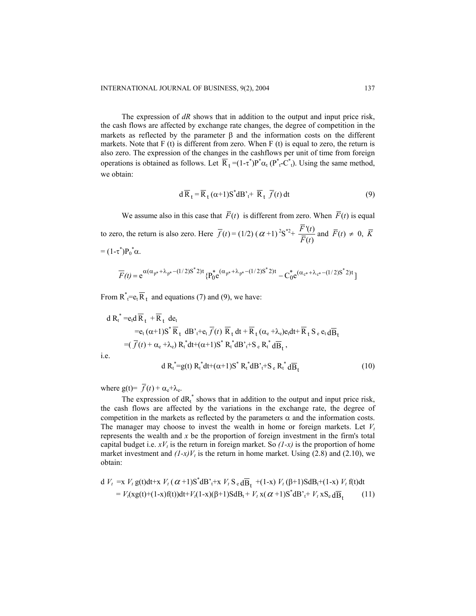The expression of *dR* shows that in addition to the output and input price risk, the cash flows are affected by exchange rate changes, the degree of competition in the markets as reflected by the parameter  $\beta$  and the information costs on the different markets. Note that F (t) is different from zero. When F (t) is equal to zero, the return is also zero. The expression of the changes in the cashflows per unit of time from foreign operations is obtained as follows. Let  $\overline{R}_t = (1 - \tau^*) P^* \alpha_t (P^* + C^*)$ . Using the same method, we obtain:

$$
d\overline{R}_t = \overline{R}_t (\alpha + 1) S^* dB^* + \overline{R}_t \overline{f}(t) dt
$$
 (9)

We assume also in this case that  $\overline{F}(t)$  is different from zero. When  $\overline{F}(t)$  is equal to zero, the return is also zero. Here  $\overline{f}(t) = (1/2) (\alpha + 1)^2 S^{*2} + \frac{F'(t)}{\overline{F}(t)}$ *F t*  $\frac{\overline{F}(t)}{\overline{F}(t)}$  and  $\overline{F}(t) \neq 0$ ,  $\overline{K}(t)$ =  $(1 - \tau^*) P_0^* \alpha$ .

$$
\overline{F}(t) = e^{\alpha(\alpha_{p^*} + \lambda_{p^*} - (1/2)S^* 2)t} \{P_0^* e^{(\alpha_{p^*} + \lambda_{p^*} - (1/2)S^* 2)t} - C_0^* e^{(\alpha_{c^*} + \lambda_{c^*} - (1/2)S^* 2)t}\}
$$

From  $R^*_{\tau} = e_t \overline{R}_t$  and equations (7) and (9), we have:

d R<sub>t</sub><sup>\*</sup> =e<sub>t</sub>d R<sub>t</sub> + R<sub>t</sub> de<sub>t</sub>  
\n=e<sub>t</sub> (α+1)S<sup>\*</sup> R<sub>t</sub> dB'<sub>t</sub>+e<sub>t</sub> 
$$
\overline{f}(t)
$$
 R<sub>t</sub> dt + R<sub>t</sub> (α<sub>e</sub> +λ<sub>e</sub>)e<sub>t</sub>dt+ R<sub>t</sub> S<sub>e</sub> e<sub>t</sub>dB<sub>t</sub>  
\n= ( $\overline{f}(t)$  + α<sub>e</sub> +λ<sub>e</sub>) R<sub>t</sub><sup>\*</sup>dt+ (α+1)S<sup>\*</sup> R<sub>t</sub><sup>\*</sup>dB<sub>t</sub><sup>\*</sup>+S<sub>e</sub> R<sub>t</sub><sup>\*</sup>dB<sub>t</sub>,  
\ni.e. d R<sub>t</sub><sup>\*</sup>=g(t) R<sub>t</sub><sup>\*</sup>dt+ (α+1)S<sup>\*</sup> R<sub>t</sub><sup>\*</sup>dB<sub>t</sub><sup>\*</sup>+S<sub>e</sub> R<sub>t</sub><sup>\*</sup>dB<sub>t</sub><sup>\*</sup>

where  $g(t) = \overline{f}(t) + \alpha_e + \lambda_e$ .

The expression of  $dR_t^*$  shows that in addition to the output and input price risk, the cash flows are affected by the variations in the exchange rate, the degree of competition in the markets as reflected by the parameters  $\alpha$  and the information costs. The manager may choose to invest the wealth in home or foreign markets. Let  $V_t$ represents the wealth and *x* be the proportion of foreign investment in the firm's total capital budget i.e.  $xV_t$  is the return in foreign market. So  $(1-x)$  is the proportion of home market investment and  $(I-x)V_t$  is the return in home market. Using (2.8) and (2.10), we obtain:

d 
$$
V_t = x V_t g(t)dt + x V_t (\alpha + 1)S^* dB^*_{t} + x V_t S_e d\overline{B}_t + (1-x) V_t (\beta + 1)S dB_t + (1-x) V_t f(t)dt
$$
  
=  $V_t(xg(t) + (1-x)f(t))dt + V_t(1-x)(\beta + 1)S dB_t + V_t x(\alpha + 1)S^* dB^*_{t} + V_t xS_e d\overline{B}_t$  (11)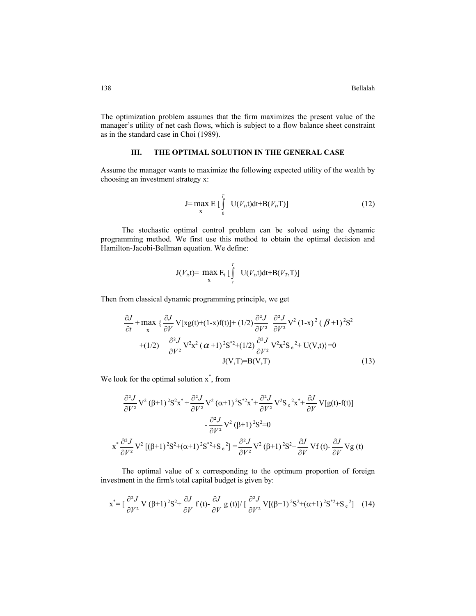138 Bellalah

The optimization problem assumes that the firm maximizes the present value of the manager's utility of net cash flows, which is subject to a flow balance sheet constraint as in the standard case in Choi (1989).

### **III. THE OPTIMAL SOLUTION IN THE GENERAL CASE**

Assume the manager wants to maximize the following expected utility of the wealth by choosing an investment strategy x:

$$
J = \max_{X} E\left[\int_{0}^{T} U(V_{t}, t)dt + B(V_{t}, T)\right]
$$
 (12)

The stochastic optimal control problem can be solved using the dynamic programming method. We first use this method to obtain the optimal decision and Hamilton-Jacobi-Bellman equation. We define:

$$
J(V_t,t) = \max_{x} E_t \left[ \int_t^T U(V_t,t)dt + B(V_T,T) \right]
$$

Then from classical dynamic programming principle, we get

$$
\frac{\partial J}{\partial t} + \max_{\mathbf{x}} \left\{ \frac{\partial J}{\partial V} \mathbf{V}[\mathbf{x}g(t) + (1-\mathbf{x})f(t)] + (1/2) \frac{\partial^2 J}{\partial V^2} \frac{\partial^2 J}{\partial V^2} \mathbf{V}^2 (1-\mathbf{x})^2 (\boldsymbol{\beta}+1)^2 \mathbf{S}^2 + (1/2) \frac{\partial^2 J}{\partial V^2} \mathbf{V}^2 \mathbf{x}^2 (\boldsymbol{\alpha}+1)^2 \mathbf{S}^{*2} + (1/2) \frac{\partial^2 J}{\partial V^2} \mathbf{V}^2 \mathbf{x}^2 \mathbf{S}_e^2 + \mathbf{U}(\mathbf{V},t)\right\} = 0
$$
\n
$$
\mathbf{J}(\mathbf{V}, \mathbf{T}) = \mathbf{B}(\mathbf{V}, \mathbf{T}) \tag{13}
$$

We look for the optimal solution  $x^*$ , from

$$
\frac{\partial^2 J}{\partial V^2} V^2 (\beta+1)^2 S^2 x^* + \frac{\partial^2 J}{\partial V^2} V^2 (\alpha+1)^2 S^* x^* + \frac{\partial^2 J}{\partial V^2} V^2 S e^{2x^*} + \frac{\partial J}{\partial V} V[g(t) - f(t)]
$$
  

$$
- \frac{\partial^2 J}{\partial V^2} V^2 (\beta+1)^2 S^2 = 0
$$
  

$$
x^* \frac{\partial^2 J}{\partial V^2} V^2 [(\beta+1)^2 S^2 + (\alpha+1)^2 S^* + S e^2] = \frac{\partial^2 J}{\partial V^2} V^2 (\beta+1)^2 S^2 + \frac{\partial J}{\partial V} Vf(t) - \frac{\partial J}{\partial V} Vg(t)
$$

The optimal value of x corresponding to the optimum proportion of foreign investment in the firm's total capital budget is given by:

$$
\mathbf{x}^* = \left[\frac{\partial^2 J}{\partial V^2} \mathbf{V} \left(\beta + 1\right)^2 \mathbf{S}^2 + \frac{\partial J}{\partial V} \mathbf{f} \left(t\right) - \frac{\partial J}{\partial V} \mathbf{g} \left(t\right) \right] / \left[\frac{\partial^2 J}{\partial V^2} \mathbf{V} \left[ \left(\beta + 1\right)^2 \mathbf{S}^2 + \left(\alpha + 1\right)^2 \mathbf{S}^{*2} + \mathbf{S}_e^2\right] \right] \tag{14}
$$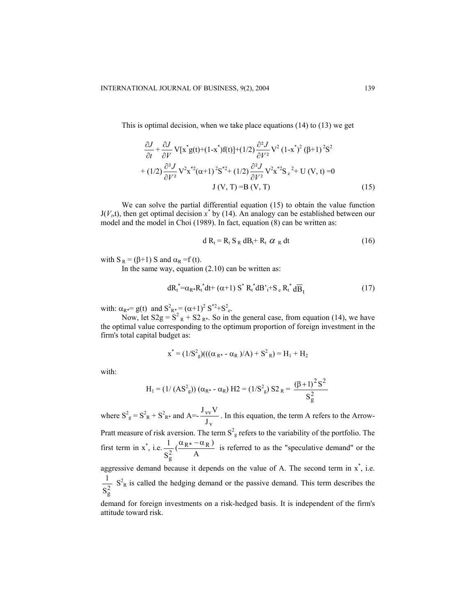This is optimal decision, when we take place equations (14) to (13) we get

$$
\frac{\partial J}{\partial t} + \frac{\partial J}{\partial V} \mathbf{V}[\mathbf{x}^* g(t) + (1 - \mathbf{x}^*) f(t)] + (1/2) \frac{\partial^2 J}{\partial V^2} \mathbf{V}^2 (1 - \mathbf{x}^*)^2 (\beta + 1)^2 \mathbf{S}^2 \n+ (1/2) \frac{\partial^2 J}{\partial V^2} \mathbf{V}^2 \mathbf{x}^* ( \alpha + 1)^2 \mathbf{S}^{*2} + (1/2) \frac{\partial^2 J}{\partial V^2} \mathbf{V}^2 \mathbf{x}^* \mathbf{S} e^{2} + \mathbf{U} (\mathbf{V}, t) = 0 \n\mathbf{J} (\mathbf{V}, \mathbf{T}) = \mathbf{B} (\mathbf{V}, \mathbf{T})
$$
\n(15)

We can solve the partial differential equation (15) to obtain the value function  $J(V_t,t)$ , then get optimal decision  $x^*$  by (14). An analogy can be established between our model and the model in Choi (1989). In fact, equation (8) can be written as:

$$
d R_t = R_t S_R dB_t + R_t \alpha_R dt
$$
 (16)

with  $S_R = (\beta + 1) S$  and  $\alpha_R = f(t)$ .

In the same way, equation  $(2.10)$  can be written as:

$$
dR_t^* = \alpha_{R^*} R_t^* dt + (\alpha + 1) S^* R_t^* dB_t^* + S_e R_t^* d\overline{B}_t
$$
\n(17)

with:  $\alpha_{R^*} = g(t)$  and  $S^2_{R^*} = (\alpha + 1)^2 S^{*2} + S^2_{e}$ .

Now, let  $S2g = S^2 R + S2 R^*$ . So in the general case, from equation (14), we have the optimal value corresponding to the optimum proportion of foreign investment in the firm's total capital budget as:

$$
x^* = (1/S^2) \left( ((\alpha_{R^*} - \alpha_R)/A) + S^2 R \right) = H_1 + H_2
$$

with:

$$
H_1 = (1/(AS_g^2)) (\alpha_{R^*} - \alpha_R) H_2 = (1/S_g^2) S_2^2 = \frac{(\beta + 1)^2 S^2}{S_g^2}
$$

where  $S_{g}^{2} = S_{R}^{2} + S_{R*}^{2}$  and A=v vv J  $\frac{J_{VV}V}{I_{UV}}$ . In this equation, the term A refers to the Arrow-Pratt measure of risk aversion. The term  $S^2$  refers to the variability of the portfolio. The first term in x<sup>\*</sup>, i.e.  $\frac{1}{S_2^2}$  ( $\frac{\alpha_{R^*} - \alpha_R}{A}$ ) S  $1 \alpha_{R^*} - \alpha_R$ 2 g  $\frac{\alpha_{R^*} - \alpha_R}{\alpha}$  is referred to as the "speculative demand" or the aggressive demand because it depends on the value of A. The second term in  $x^*$ , i.e.  $S_g^2$  $\frac{1}{2}$  S<sup>2</sup><sub>R</sub> is called the hedging demand or the passive demand. This term describes the

demand for foreign investments on a risk-hedged basis. It is independent of the firm's attitude toward risk.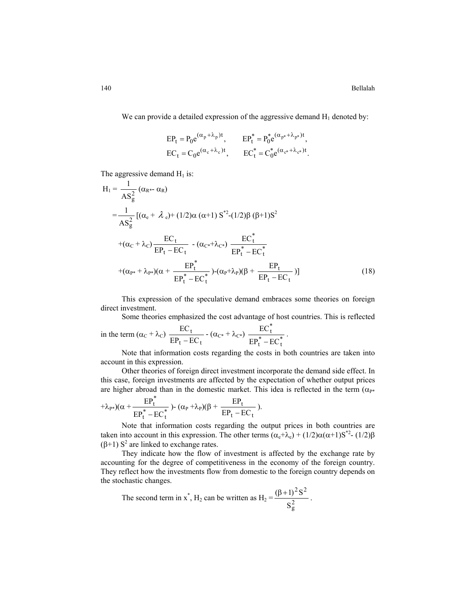We can provide a detailed expression of the aggressive demand  $H_1$  denoted by:

$$
\begin{aligned} &EP_t = P_0 e^{(\alpha_p + \lambda_p)t}, &EP_t^* = P_0^* e^{(\alpha_{p^*} + \lambda_{p^*})t}, \\ &EC_t = C_0 e^{(\alpha_c + \lambda_c)t}, &EC_t^* = C_0^* e^{(\alpha_{c^*} + \lambda_{c^*})t}. \end{aligned}
$$

The aggressive demand  $H_1$  is:

$$
H_{1} = \frac{1}{AS_{g}^{2}} (\alpha_{R^{*}} - \alpha_{R})
$$
  
\n
$$
= \frac{1}{AS_{g}^{2}} [(\alpha_{e} + \lambda_{e}) + (1/2)\alpha (\alpha + 1) S^{*2} - (1/2)\beta (\beta + 1)S^{2}
$$
  
\n
$$
+ (\alpha_{C} + \lambda_{C}) \frac{EC_{t}}{EP_{t} - EC_{t}} - (\alpha_{C^{*}} + \lambda_{C^{*}}) \frac{EC_{t}^{*}}{EP_{t}^{*} - EC_{t}^{*}}
$$
  
\n
$$
+ (\alpha_{P^{*}} + \lambda_{P^{*}})(\alpha + \frac{EP_{t}^{*}}{EP_{t}^{*} - EC_{t}^{*}}) - (\alpha_{P} + \lambda_{P})(\beta + \frac{EP_{t}}{EP_{t} - EC_{t}})]
$$
\n(18)

This expression of the speculative demand embraces some theories on foreign direct investment.

Some theories emphasized the cost advantage of host countries. This is reflected

in the term 
$$
(\alpha_C + \lambda_C) \frac{EC_t}{EP_t - EC_t} - (\alpha_{C^*} + \lambda_{C^*}) \frac{EC_t^*}{EP_t^* - EC_t^*}
$$
.

Note that information costs regarding the costs in both countries are taken into account in this expression.

Other theories of foreign direct investment incorporate the demand side effect. In this case, foreign investments are affected by the expectation of whether output prices are higher abroad than in the domestic market. This idea is reflected in the term  $(\alpha_{P^*})$ 

$$
+\lambda_{P^*})(\alpha+\frac{EP_t^*}{EP_t^*-EC_t^*})\text{-}\,(\alpha_P+\lambda_P)(\beta+\frac{EP_t}{EP_t-EC_t}).
$$

Note that information costs regarding the output prices in both countries are taken into account in this expression. The other terms  $(\alpha_e + \lambda_e) + (1/2)\alpha(\alpha + 1)S^{*2} - (1/2)\beta$ (β+1)  $S^2$  are linked to exchange rates.

They indicate how the flow of investment is affected by the exchange rate by accounting for the degree of competitiveness in the economy of the foreign country. They reflect how the investments flow from domestic to the foreign country depends on the stochastic changes.

The second term in x<sup>\*</sup>, H<sub>2</sub> can be written as H<sub>2</sub> =  $\frac{(D+1)}{S_g^2}$  $2c<sub>2</sub>$ S  $\frac{(\beta + 1)^2 S^2}{2}$ .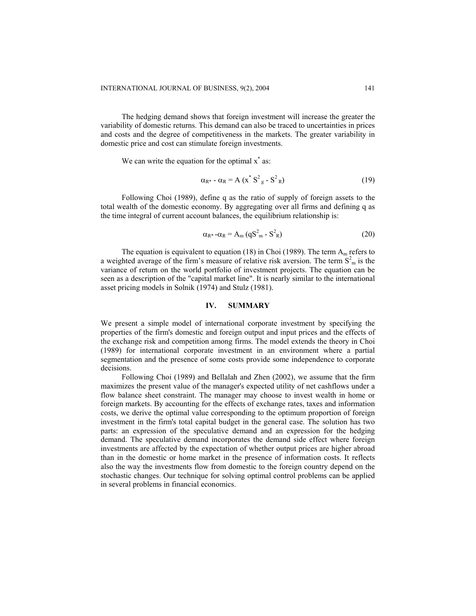The hedging demand shows that foreign investment will increase the greater the variability of domestic returns. This demand can also be traced to uncertainties in prices and costs and the degree of competitiveness in the markets. The greater variability in domestic price and cost can stimulate foreign investments.

We can write the equation for the optimal  $x^*$  as:

$$
\alpha_{\mathbb{R}^*} \cdot \alpha_{\mathbb{R}} = A \left( x^* S^2_{g} - S^2_{\mathbb{R}} \right) \tag{19}
$$

Following Choi (1989), define q as the ratio of supply of foreign assets to the total wealth of the domestic economy. By aggregating over all firms and defining q as the time integral of current account balances, the equilibrium relationship is:

$$
\alpha_{\mathbb{R}^*} - \alpha_{\mathbb{R}} = A_{\mathbb{m}} (qS_{\mathbb{m}}^2 - S_{\mathbb{R}}^2)
$$
 (20)

The equation is equivalent to equation (18) in Choi (1989). The term  $A_m$  refers to a weighted average of the firm's measure of relative risk aversion. The term  $S<sup>2</sup><sub>m</sub>$  is the variance of return on the world portfolio of investment projects. The equation can be seen as a description of the "capital market line". It is nearly similar to the international asset pricing models in Solnik (1974) and Stulz (1981).

#### **IV. SUMMARY**

We present a simple model of international corporate investment by specifying the properties of the firm's domestic and foreign output and input prices and the effects of the exchange risk and competition among firms. The model extends the theory in Choi (1989) for international corporate investment in an environment where a partial segmentation and the presence of some costs provide some independence to corporate decisions.

Following Choi (1989) and Bellalah and Zhen (2002), we assume that the firm maximizes the present value of the manager's expected utility of net cashflows under a flow balance sheet constraint. The manager may choose to invest wealth in home or foreign markets. By accounting for the effects of exchange rates, taxes and information costs, we derive the optimal value corresponding to the optimum proportion of foreign investment in the firm's total capital budget in the general case. The solution has two parts: an expression of the speculative demand and an expression for the hedging demand. The speculative demand incorporates the demand side effect where foreign investments are affected by the expectation of whether output prices are higher abroad than in the domestic or home market in the presence of information costs. It reflects also the way the investments flow from domestic to the foreign country depend on the stochastic changes. Our technique for solving optimal control problems can be applied in several problems in financial economics.